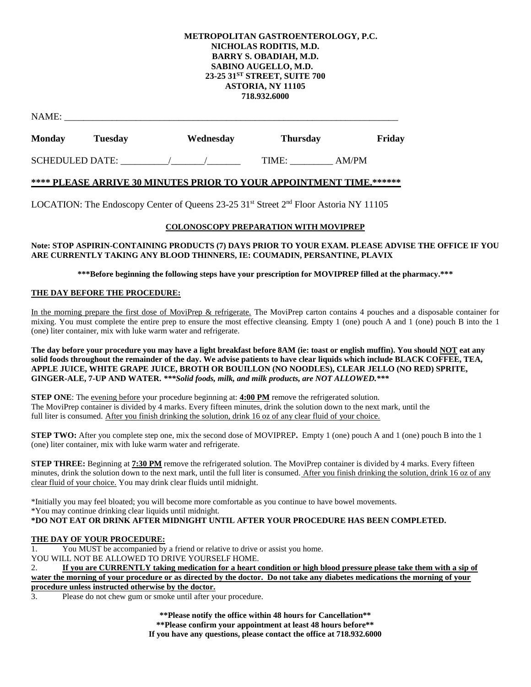# **METROPOLITAN GASTROENTEROLOGY, P.C. NICHOLAS RODITIS, M.D. BARRY S. OBADIAH, M.D. SABINO AUGELLO, M.D. 23-25 31ST STREET, SUITE 700 ASTORIA, NY 11105 718.932.6000**

| NAME:                  |                |           |                 |        |  |
|------------------------|----------------|-----------|-----------------|--------|--|
| <b>Monday</b>          | <b>Tuesday</b> | Wednesday | <b>Thursday</b> | Friday |  |
| <b>SCHEDULED DATE:</b> |                |           | TIME:           | AM/PM  |  |

# **\*\*\*\* PLEASE ARRIVE 30 MINUTES PRIOR TO YOUR APPOINTMENT TIME.\*\*\*\*\*\***

LOCATION: The Endoscopy Center of Queens  $23-25$  31<sup>st</sup> Street 2<sup>nd</sup> Floor Astoria NY 11105

## **COLONOSCOPY PREPARATION WITH MOVIPREP**

# **Note: STOP ASPIRIN-CONTAINING PRODUCTS (7) DAYS PRIOR TO YOUR EXAM. PLEASE ADVISE THE OFFICE IF YOU ARE CURRENTLY TAKING ANY BLOOD THINNERS, IE: COUMADIN, PERSANTINE, PLAVIX**

**\*\*\*Before beginning the following steps have your prescription for MOVIPREP filled at the pharmacy.\*\*\***

## **THE DAY BEFORE THE PROCEDURE:**

In the morning prepare the first dose of MoviPrep & refrigerate. The MoviPrep carton contains 4 pouches and a disposable container for mixing. You must complete the entire prep to ensure the most effective cleansing. Empty 1 (one) pouch A and 1 (one) pouch B into the 1 (one) liter container, mix with luke warm water and refrigerate.

**The day before your procedure you may have a light breakfast before 8AM (ie: toast or english muffin). You should NOT eat any solid foods throughout the remainder of the day. We advise patients to have clear liquids which include BLACK COFFEE, TEA, APPLE JUICE, WHITE GRAPE JUICE, BROTH OR BOUILLON (NO NOODLES), CLEAR JELLO (NO RED) SPRITE, GINGER-ALE, 7-UP AND WATER.** *\*\*\*Solid foods, milk, and milk products, are NOT ALLOWED.\*\*\**

**STEP ONE:** The evening before your procedure beginning at: **4:00 PM** remove the refrigerated solution. The MoviPrep container is divided by 4 marks. Every fifteen minutes, drink the solution down to the next mark, until the full liter is consumed. After you finish drinking the solution, drink 16 oz of any clear fluid of your choice.

**STEP TWO:** After you complete step one, mix the second dose of MOVIPREP. Empty 1 (one) pouch A and 1 (one) pouch B into the 1 (one) liter container, mix with luke warm water and refrigerate.

**STEP THREE:** Beginning at **7:30 PM** remove the refrigerated solution. The MoviPrep container is divided by 4 marks. Every fifteen minutes, drink the solution down to the next mark, until the full liter is consumed. After you finish drinking the solution, drink 16 oz of any clear fluid of your choice. You may drink clear fluids until midnight.

\*Initially you may feel bloated; you will become more comfortable as you continue to have bowel movements. \*You may continue drinking clear liquids until midnight. **\*DO NOT EAT OR DRINK AFTER MIDNIGHT UNTIL AFTER YOUR PROCEDURE HAS BEEN COMPLETED.**

## **THE DAY OF YOUR PROCEDURE:**

1. You MUST be accompanied by a friend or relative to drive or assist you home.

YOU WILL NOT BE ALLOWED TO DRIVE YOURSELF HOME.

2. **If you are CURRENTLY taking medication for a heart condition or high blood pressure please take them with a sip of water the morning of your procedure or as directed by the doctor. Do not take any diabetes medications the morning of your procedure unless instructed otherwise by the doctor.**

3. Please do not chew gum or smoke until after your procedure.

**\*\*Please notify the office within 48 hours for Cancellation\*\***

**\*\*Please confirm your appointment at least 48 hours before\*\***

**If you have any questions, please contact the office at 718.932.6000**